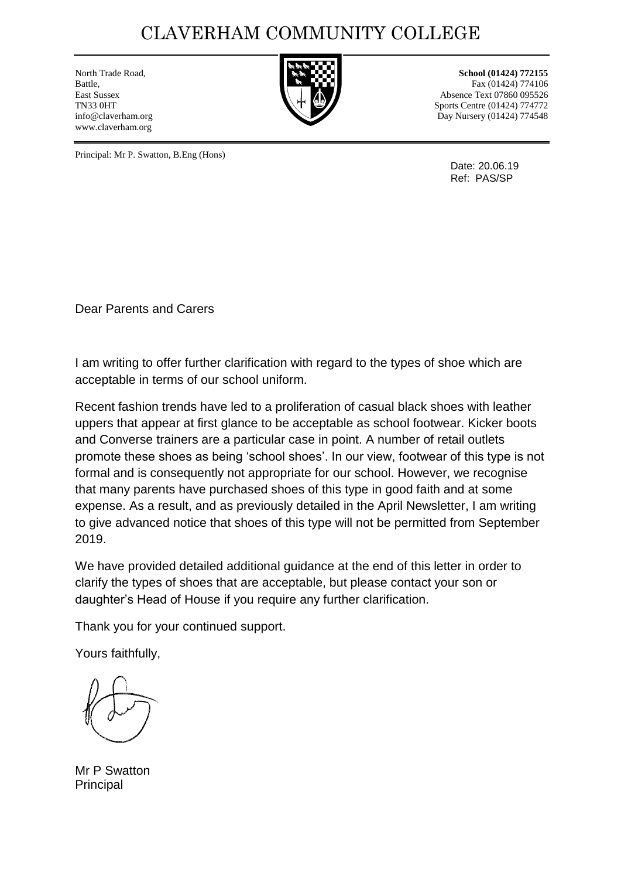## CLAVERHAM COMMUNITY COLLEGE

www.claverham.org



North Trade Road, **School (01424)** 772155 Battle, **Fax (01424)** 774106 East Sussex Absence Text 07860 095526 TN33 0HT Sports Centre (01424) 774772 info@claverham.org Day Nursery (01424) 774548

Principal: Mr P. Swatton, B.Eng (Hons)

Date: 20.06.19 Ref: PAS/SP

Dear Parents and Carers

I am writing to offer further clarification with regard to the types of shoe which are acceptable in terms of our school uniform.

Recent fashion trends have led to a proliferation of casual black shoes with leather uppers that appear at first glance to be acceptable as school footwear. Kicker boots and Converse trainers are a particular case in point. A number of retail outlets promote these shoes as being 'school shoes'. In our view, footwear of this type is not formal and is consequently not appropriate for our school. However, we recognise that many parents have purchased shoes of this type in good faith and at some expense. As a result, and as previously detailed in the April Newsletter, I am writing to give advanced notice that shoes of this type will not be permitted from September 2019.

We have provided detailed additional guidance at the end of this letter in order to clarify the types of shoes that are acceptable, but please contact your son or daughter's Head of House if you require any further clarification.

Thank you for your continued support.

Yours faithfully,

Mr P Swatton Principal